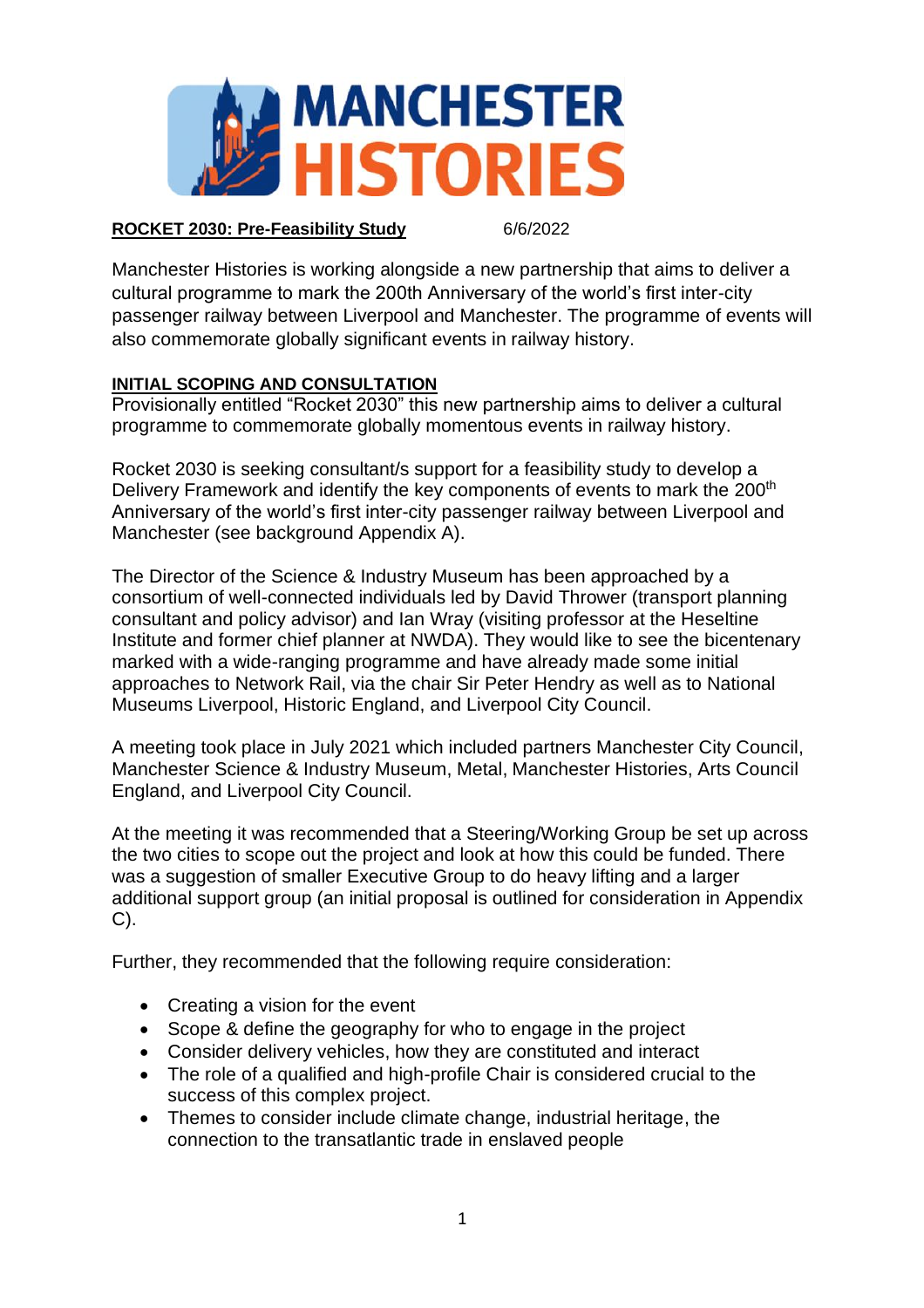

#### **ROCKET 2030: Pre-Feasibility Study** 6/6/2022

Manchester Histories is working alongside a new partnership that aims to deliver a cultural programme to mark the 200th Anniversary of the world's first inter-city passenger railway between Liverpool and Manchester. The programme of events will also commemorate globally significant events in railway history.

# **INITIAL SCOPING AND CONSULTATION**

Provisionally entitled "Rocket 2030" this new partnership aims to deliver a cultural programme to commemorate globally momentous events in railway history.

Rocket 2030 is seeking consultant/s support for a feasibility study to develop a Delivery Framework and identify the key components of events to mark the 200<sup>th</sup> Anniversary of the world's first inter-city passenger railway between Liverpool and Manchester (see background Appendix A).

The Director of the Science & Industry Museum has been approached by a consortium of well-connected individuals led by David Thrower (transport planning consultant and policy advisor) and Ian Wray (visiting professor at the Heseltine Institute and former chief planner at NWDA). They would like to see the bicentenary marked with a wide-ranging programme and have already made some initial approaches to Network Rail, via the chair Sir Peter Hendry as well as to National Museums Liverpool, Historic England, and Liverpool City Council.

A meeting took place in July 2021 which included partners Manchester City Council, Manchester Science & Industry Museum, Metal, Manchester Histories, Arts Council England, and Liverpool City Council.

At the meeting it was recommended that a Steering/Working Group be set up across the two cities to scope out the project and look at how this could be funded. There was a suggestion of smaller Executive Group to do heavy lifting and a larger additional support group (an initial proposal is outlined for consideration in Appendix C).

Further, they recommended that the following require consideration:

- Creating a vision for the event
- Scope & define the geography for who to engage in the project
- Consider delivery vehicles, how they are constituted and interact
- The role of a qualified and high-profile Chair is considered crucial to the success of this complex project.
- Themes to consider include climate change, industrial heritage, the connection to the transatlantic trade in enslaved people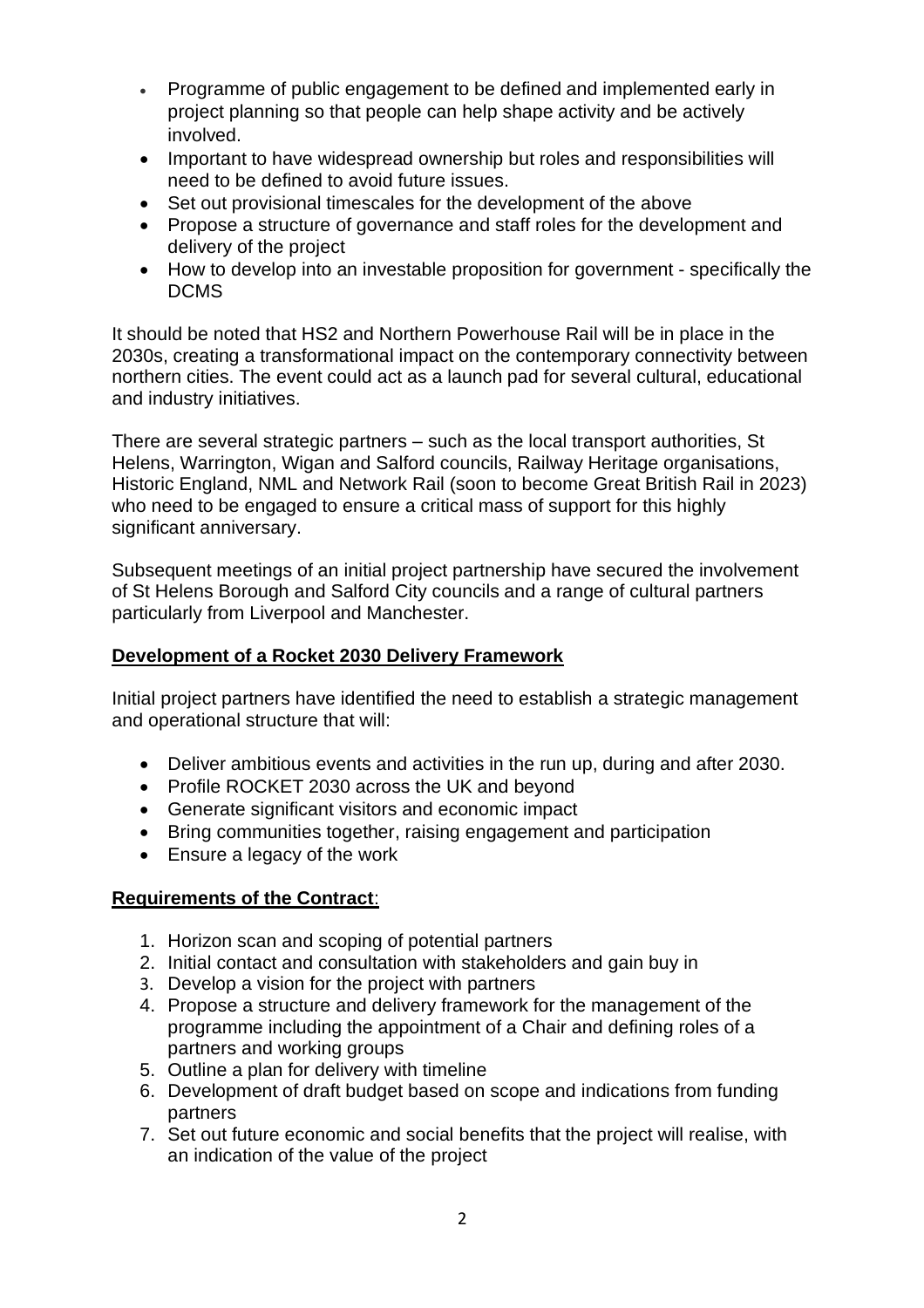- Programme of public engagement to be defined and implemented early in project planning so that people can help shape activity and be actively involved.
- Important to have widespread ownership but roles and responsibilities will need to be defined to avoid future issues.
- Set out provisional timescales for the development of the above
- Propose a structure of governance and staff roles for the development and delivery of the project
- How to develop into an investable proposition for government specifically the DCMS

It should be noted that HS2 and Northern Powerhouse Rail will be in place in the 2030s, creating a transformational impact on the contemporary connectivity between northern cities. The event could act as a launch pad for several cultural, educational and industry initiatives.

There are several strategic partners – such as the local transport authorities, St Helens, Warrington, Wigan and Salford councils, Railway Heritage organisations, Historic England, NML and Network Rail (soon to become Great British Rail in 2023) who need to be engaged to ensure a critical mass of support for this highly significant anniversary.

Subsequent meetings of an initial project partnership have secured the involvement of St Helens Borough and Salford City councils and a range of cultural partners particularly from Liverpool and Manchester.

# **Development of a Rocket 2030 Delivery Framework**

Initial project partners have identified the need to establish a strategic management and operational structure that will:

- Deliver ambitious events and activities in the run up, during and after 2030.
- Profile ROCKET 2030 across the UK and beyond
- Generate significant visitors and economic impact
- Bring communities together, raising engagement and participation
- Ensure a legacy of the work

# **Requirements of the Contract**:

- 1. Horizon scan and scoping of potential partners
- 2. Initial contact and consultation with stakeholders and gain buy in
- 3. Develop a vision for the project with partners
- 4. Propose a structure and delivery framework for the management of the programme including the appointment of a Chair and defining roles of a partners and working groups
- 5. Outline a plan for delivery with timeline
- 6. Development of draft budget based on scope and indications from funding partners
- 7. Set out future economic and social benefits that the project will realise, with an indication of the value of the project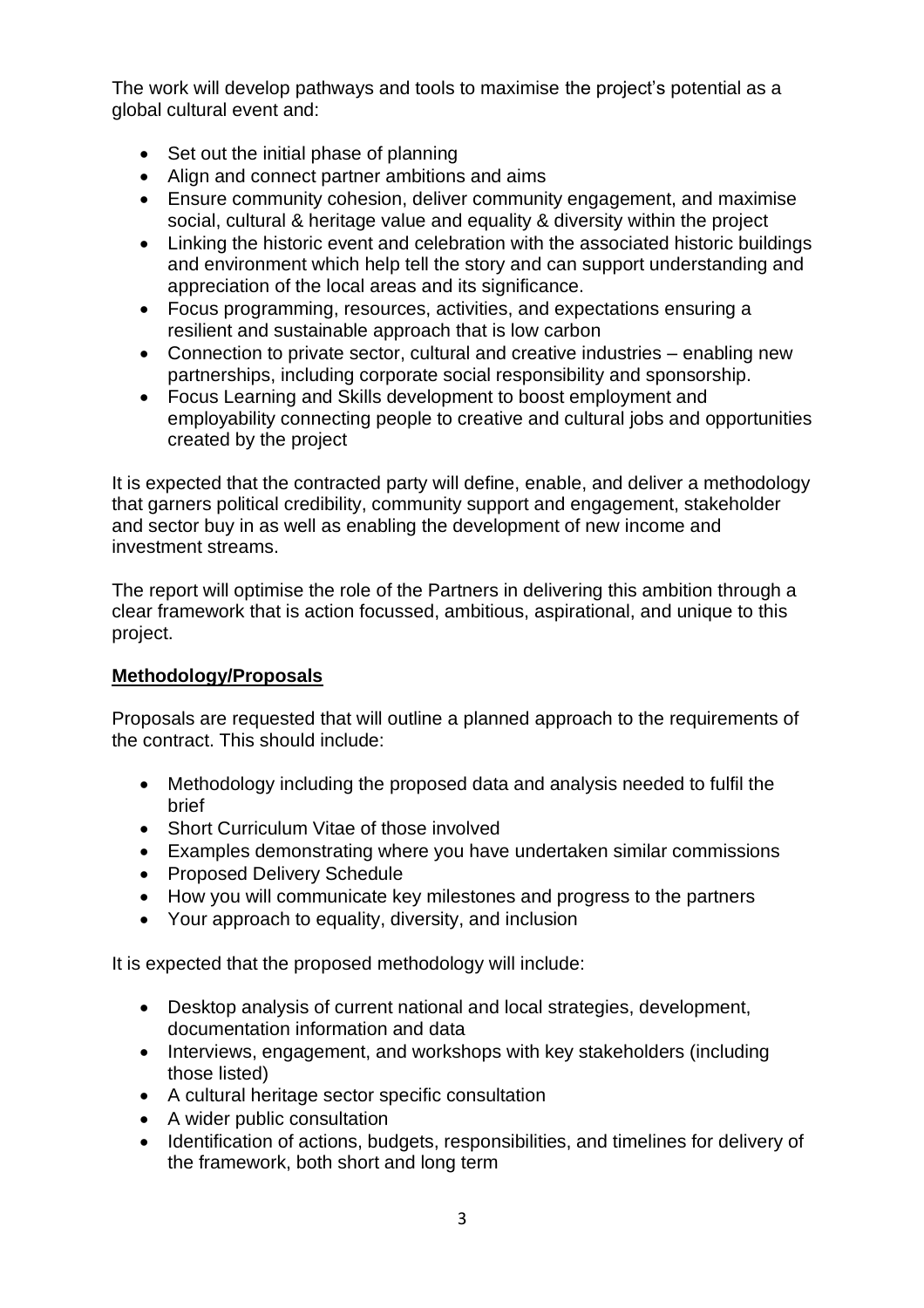The work will develop pathways and tools to maximise the project's potential as a global cultural event and:

- Set out the initial phase of planning
- Align and connect partner ambitions and aims
- Ensure community cohesion, deliver community engagement, and maximise social, cultural & heritage value and equality & diversity within the project
- Linking the historic event and celebration with the associated historic buildings and environment which help tell the story and can support understanding and appreciation of the local areas and its significance.
- Focus programming, resources, activities, and expectations ensuring a resilient and sustainable approach that is low carbon
- Connection to private sector, cultural and creative industries enabling new partnerships, including corporate social responsibility and sponsorship.
- Focus Learning and Skills development to boost employment and employability connecting people to creative and cultural jobs and opportunities created by the project

It is expected that the contracted party will define, enable, and deliver a methodology that garners political credibility, community support and engagement, stakeholder and sector buy in as well as enabling the development of new income and investment streams.

The report will optimise the role of the Partners in delivering this ambition through a clear framework that is action focussed, ambitious, aspirational, and unique to this project.

# **Methodology/Proposals**

Proposals are requested that will outline a planned approach to the requirements of the contract. This should include:

- Methodology including the proposed data and analysis needed to fulfil the brief
- Short Curriculum Vitae of those involved
- Examples demonstrating where you have undertaken similar commissions
- Proposed Delivery Schedule
- How you will communicate key milestones and progress to the partners
- Your approach to equality, diversity, and inclusion

It is expected that the proposed methodology will include:

- Desktop analysis of current national and local strategies, development, documentation information and data
- Interviews, engagement, and workshops with key stakeholders (including those listed)
- A cultural heritage sector specific consultation
- A wider public consultation
- Identification of actions, budgets, responsibilities, and timelines for delivery of the framework, both short and long term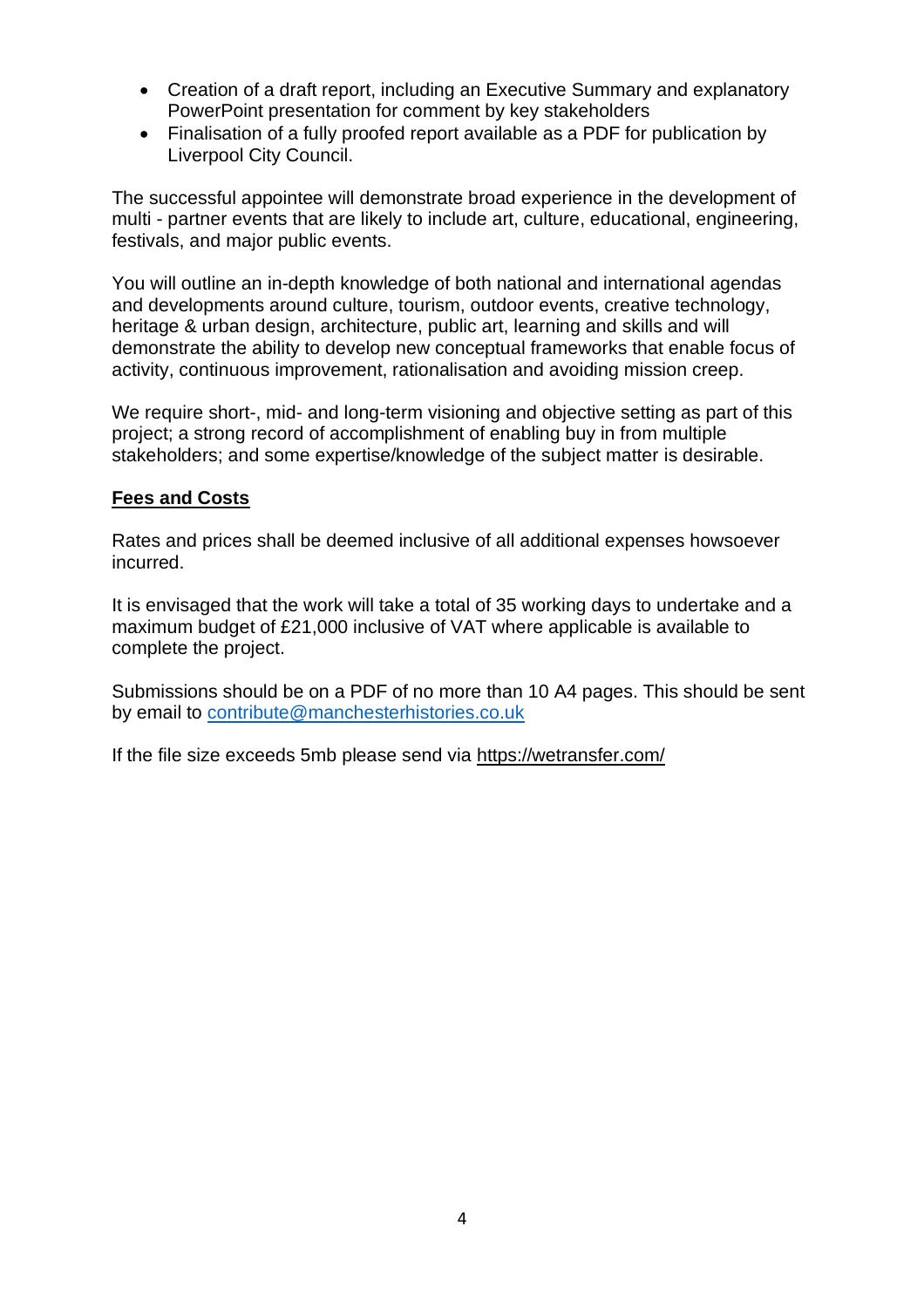- Creation of a draft report, including an Executive Summary and explanatory PowerPoint presentation for comment by key stakeholders
- Finalisation of a fully proofed report available as a PDF for publication by Liverpool City Council.

The successful appointee will demonstrate broad experience in the development of multi - partner events that are likely to include art, culture, educational, engineering, festivals, and major public events.

You will outline an in-depth knowledge of both national and international agendas and developments around culture, tourism, outdoor events, creative technology, heritage & urban design, architecture, public art, learning and skills and will demonstrate the ability to develop new conceptual frameworks that enable focus of activity, continuous improvement, rationalisation and avoiding mission creep.

We require short-, mid- and long-term visioning and objective setting as part of this project; a strong record of accomplishment of enabling buy in from multiple stakeholders; and some expertise/knowledge of the subject matter is desirable.

#### **Fees and Costs**

Rates and prices shall be deemed inclusive of all additional expenses howsoever incurred.

It is envisaged that the work will take a total of 35 working days to undertake and a maximum budget of £21,000 inclusive of VAT where applicable is available to complete the project.

Submissions should be on a PDF of no more than 10 A4 pages. This should be sent by email to [contribute@manchesterhistories.co.uk](mailto:contribute@manchesterhistories.co.uk)

If the file size exceeds 5mb please send via<https://wetransfer.com/>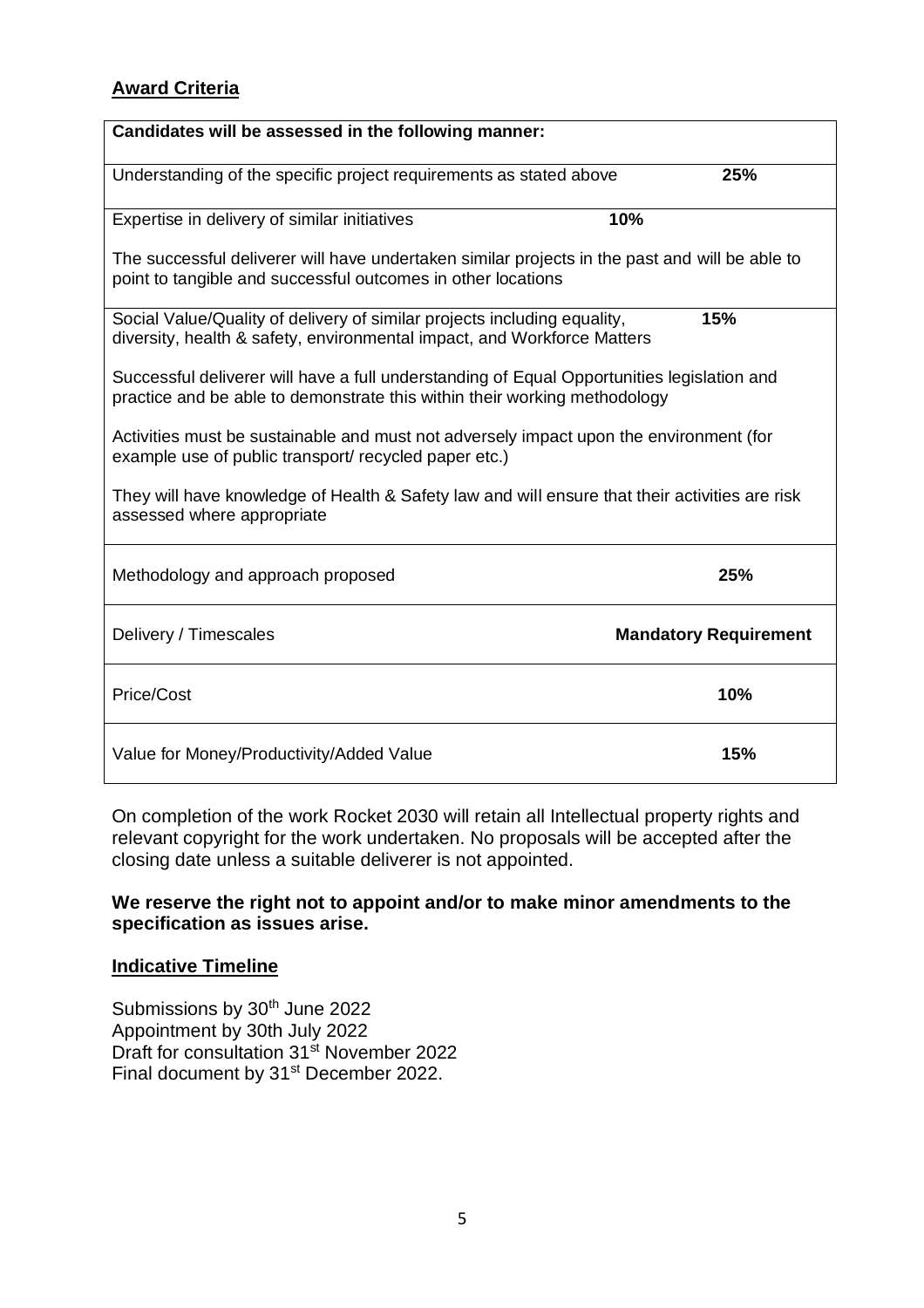# **Award Criteria**

| Candidates will be assessed in the following manner:                                                                                                                    |                              |
|-------------------------------------------------------------------------------------------------------------------------------------------------------------------------|------------------------------|
| Understanding of the specific project requirements as stated above                                                                                                      | 25%                          |
| Expertise in delivery of similar initiatives                                                                                                                            | 10%                          |
| The successful deliverer will have undertaken similar projects in the past and will be able to<br>point to tangible and successful outcomes in other locations          |                              |
| Social Value/Quality of delivery of similar projects including equality,<br>diversity, health & safety, environmental impact, and Workforce Matters                     | 15%                          |
| Successful deliverer will have a full understanding of Equal Opportunities legislation and<br>practice and be able to demonstrate this within their working methodology |                              |
| Activities must be sustainable and must not adversely impact upon the environment (for<br>example use of public transport/ recycled paper etc.)                         |                              |
| They will have knowledge of Health & Safety law and will ensure that their activities are risk<br>assessed where appropriate                                            |                              |
| Methodology and approach proposed                                                                                                                                       | 25%                          |
| Delivery / Timescales                                                                                                                                                   | <b>Mandatory Requirement</b> |
| Price/Cost                                                                                                                                                              | 10%                          |
| Value for Money/Productivity/Added Value                                                                                                                                | 15%                          |

On completion of the work Rocket 2030 will retain all Intellectual property rights and relevant copyright for the work undertaken. No proposals will be accepted after the closing date unless a suitable deliverer is not appointed.

#### **We reserve the right not to appoint and/or to make minor amendments to the specification as issues arise.**

#### **Indicative Timeline**

Submissions by 30<sup>th</sup> June 2022 Appointment by 30th July 2022 Draft for consultation 31<sup>st</sup> November 2022 Final document by 31st December 2022.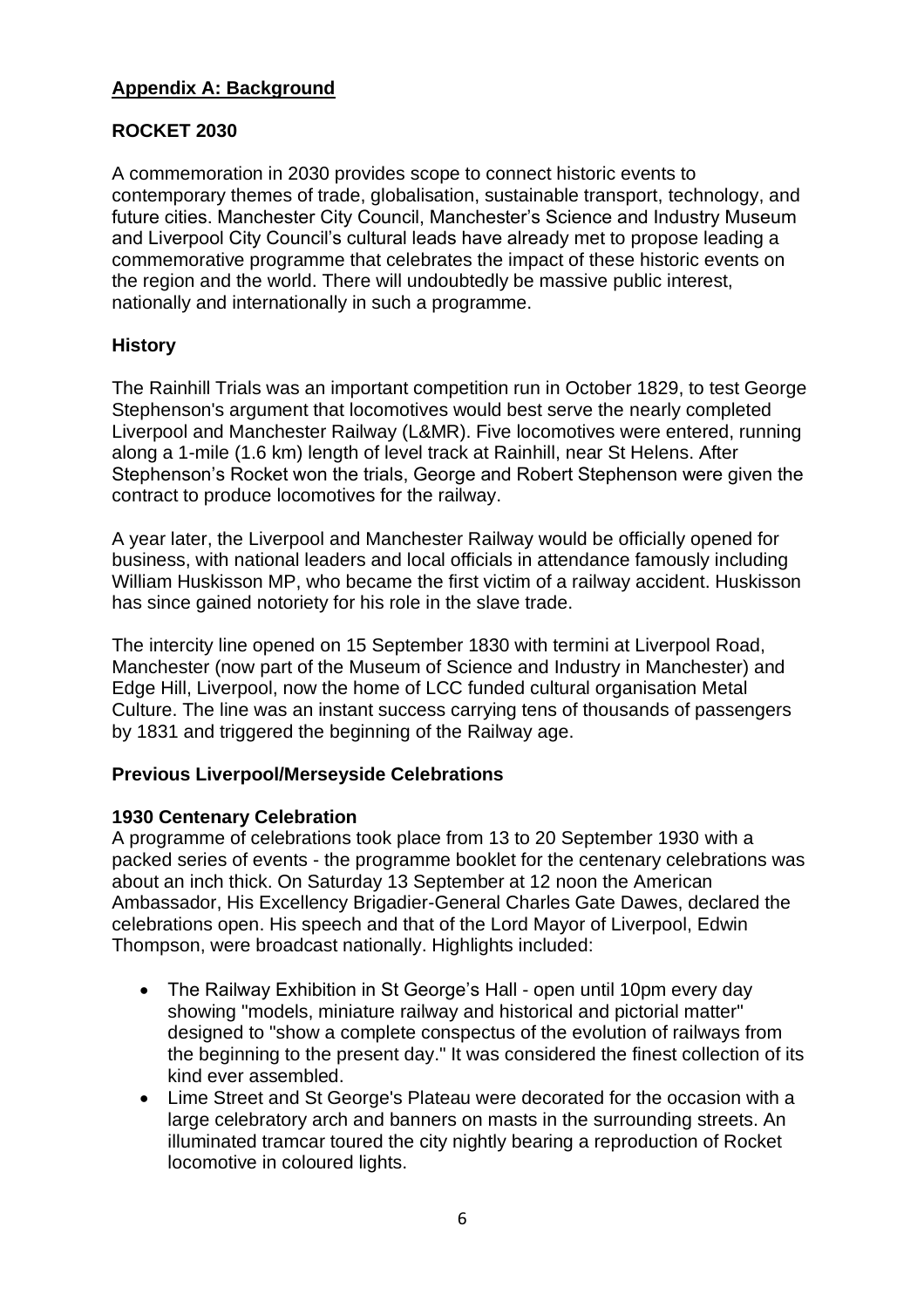# **Appendix A: Background**

# **ROCKET 2030**

A commemoration in 2030 provides scope to connect historic events to contemporary themes of trade, globalisation, sustainable transport, technology, and future cities. Manchester City Council, Manchester's Science and Industry Museum and Liverpool City Council's cultural leads have already met to propose leading a commemorative programme that celebrates the impact of these historic events on the region and the world. There will undoubtedly be massive public interest, nationally and internationally in such a programme.

# **History**

The Rainhill Trials was an important competition run in October 1829, to test George Stephenson's argument that locomotives would best serve the nearly completed Liverpool and Manchester Railway (L&MR). Five locomotives were entered, running along a 1-mile (1.6 km) length of level track at Rainhill, near St Helens. After Stephenson's Rocket won the trials, George and Robert Stephenson were given the contract to produce locomotives for the railway.

A year later, the Liverpool and Manchester Railway would be officially opened for business, with national leaders and local officials in attendance famously including William Huskisson MP, who became the first victim of a railway accident. Huskisson has since gained notoriety for his role in the slave trade.

The intercity line opened on 15 September 1830 with termini at Liverpool Road, Manchester (now part of the Museum of Science and Industry in Manchester) and Edge Hill, Liverpool, now the home of LCC funded cultural organisation Metal Culture. The line was an instant success carrying tens of thousands of passengers by 1831 and triggered the beginning of the Railway age.

# **Previous Liverpool/Merseyside Celebrations**

# **1930 Centenary Celebration**

A programme of celebrations took place from 13 to 20 September 1930 with a packed series of events - the programme booklet for the centenary celebrations was about an inch thick. On Saturday 13 September at 12 noon the American Ambassador, His Excellency Brigadier-General Charles Gate Dawes, declared the celebrations open. His speech and that of the Lord Mayor of Liverpool, Edwin Thompson, were broadcast nationally. Highlights included:

- The Railway Exhibition in St George's Hall open until 10pm every day showing "models, miniature railway and historical and pictorial matter" designed to "show a complete conspectus of the evolution of railways from the beginning to the present day." It was considered the finest collection of its kind ever assembled.
- Lime Street and St George's Plateau were decorated for the occasion with a large celebratory arch and banners on masts in the surrounding streets. An illuminated tramcar toured the city nightly bearing a reproduction of Rocket locomotive in coloured lights.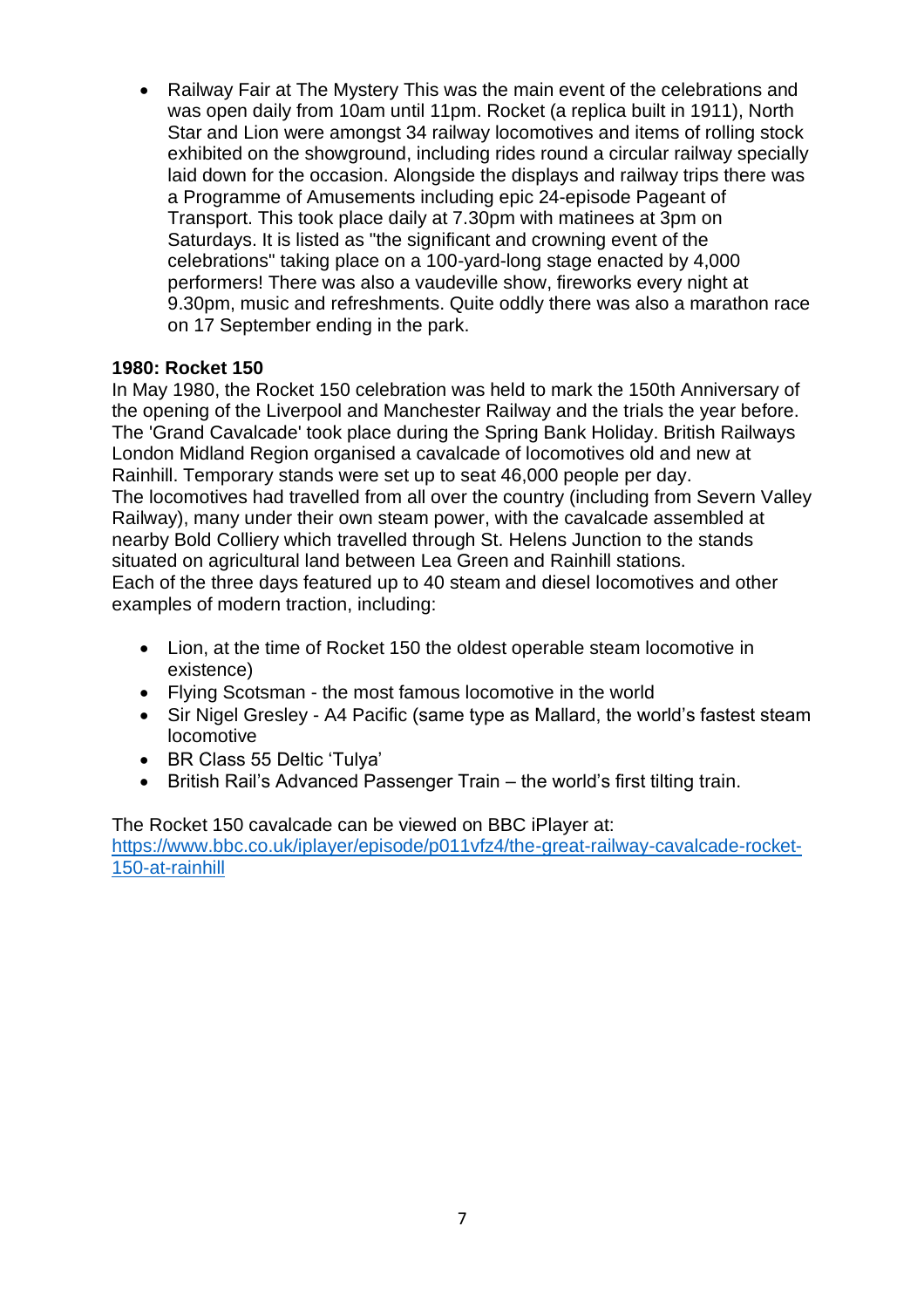• Railway Fair at The Mystery This was the main event of the celebrations and was open daily from 10am until 11pm. Rocket (a replica built in 1911), North Star and Lion were amongst 34 railway locomotives and items of rolling stock exhibited on the showground, including rides round a circular railway specially laid down for the occasion. Alongside the displays and railway trips there was a Programme of Amusements including epic 24-episode Pageant of Transport. This took place daily at 7.30pm with matinees at 3pm on Saturdays. It is listed as "the significant and crowning event of the celebrations" taking place on a 100-yard-long stage enacted by 4,000 performers! There was also a vaudeville show, fireworks every night at 9.30pm, music and refreshments. Quite oddly there was also a marathon race on 17 September ending in the park.

#### **1980: Rocket 150**

In May 1980, the Rocket 150 celebration was held to mark the 150th Anniversary of the opening of the Liverpool and Manchester Railway and the trials the year before. The 'Grand Cavalcade' took place during the Spring Bank Holiday. British Railways London Midland Region organised a cavalcade of locomotives old and new at Rainhill. Temporary stands were set up to seat 46,000 people per day. The locomotives had travelled from all over the country (including from Severn Valley Railway), many under their own steam power, with the cavalcade assembled at nearby Bold Colliery which travelled through St. Helens Junction to the stands situated on agricultural land between Lea Green and Rainhill stations. Each of the three days featured up to 40 steam and diesel locomotives and other examples of modern traction, including:

- Lion, at the time of Rocket 150 the oldest operable steam locomotive in existence)
- Flying Scotsman the most famous locomotive in the world
- Sir Nigel Gresley A4 Pacific (same type as Mallard, the world's fastest steam locomotive
- BR Class 55 Deltic 'Tulya'
- British Rail's Advanced Passenger Train the world's first tilting train.

The Rocket 150 cavalcade can be viewed on BBC iPlayer at: [https://www.bbc.co.uk/iplayer/episode/p011vfz4/the-great-railway-cavalcade-rocket-](https://www.bbc.co.uk/iplayer/episode/p011vfz4/the-great-railway-cavalcade-rocket-150-at-rainhill)[150-at-rainhill](https://www.bbc.co.uk/iplayer/episode/p011vfz4/the-great-railway-cavalcade-rocket-150-at-rainhill)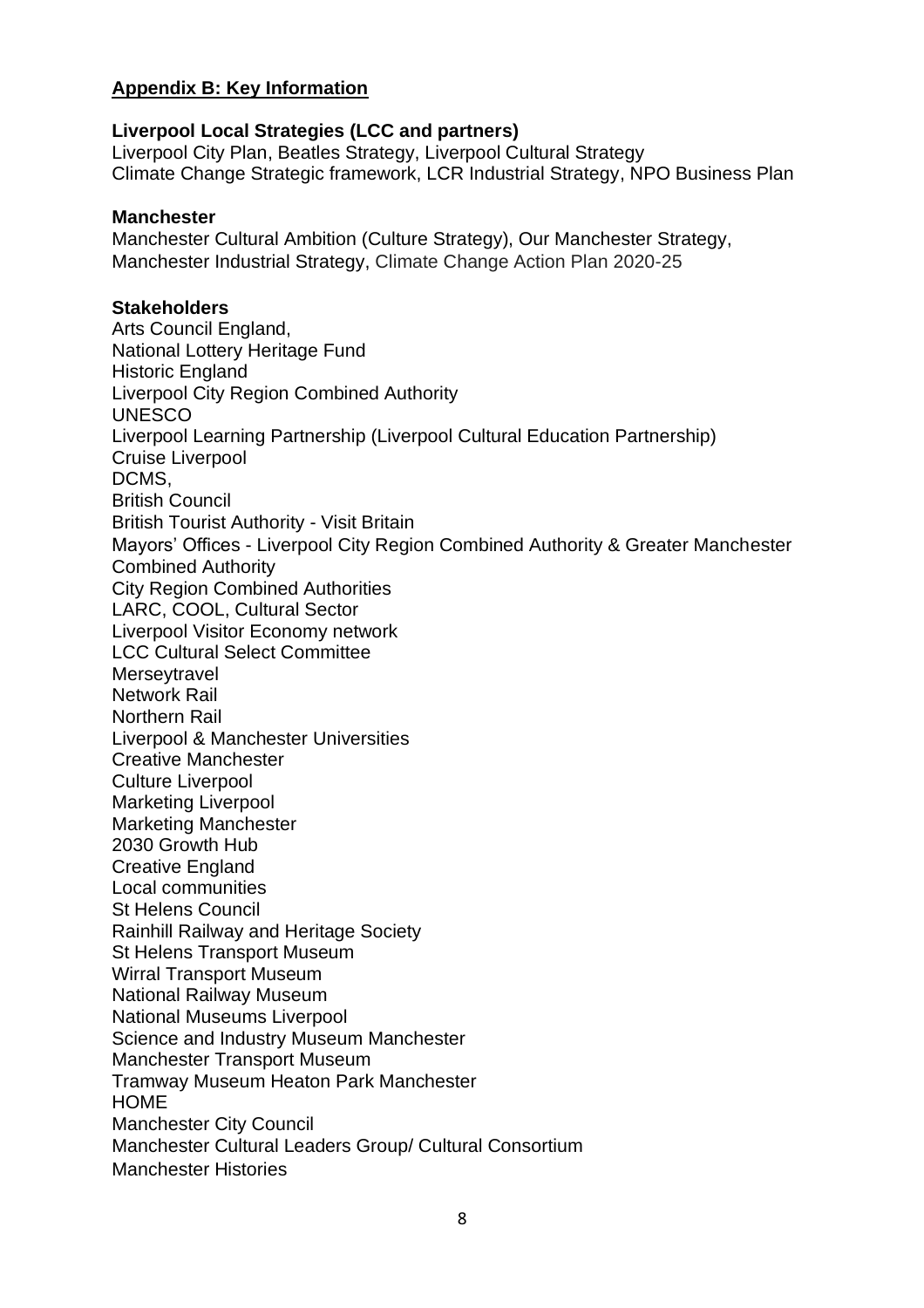# **Appendix B: Key Information**

#### **Liverpool Local Strategies (LCC and partners)**

Liverpool City Plan, Beatles Strategy, Liverpool Cultural Strategy Climate Change Strategic framework, LCR Industrial Strategy, NPO Business Plan

#### **Manchester**

Manchester Cultural Ambition (Culture Strategy), Our Manchester Strategy, Manchester Industrial Strategy, Climate Change Action Plan 2020-25

#### **Stakeholders**

Arts Council England, National Lottery Heritage Fund Historic England Liverpool City Region Combined Authority UNESCO Liverpool Learning Partnership (Liverpool Cultural Education Partnership) Cruise Liverpool DCMS, British Council British Tourist Authority - Visit Britain Mayors' Offices - Liverpool City Region Combined Authority & Greater Manchester Combined Authority City Region Combined Authorities LARC, COOL, Cultural Sector Liverpool Visitor Economy network LCC Cultural Select Committee **Merseytravel** Network Rail Northern Rail Liverpool & Manchester Universities Creative Manchester Culture Liverpool Marketing Liverpool Marketing Manchester 2030 Growth Hub Creative England Local communities St Helens Council Rainhill Railway and Heritage Society St Helens Transport Museum Wirral Transport Museum National Railway Museum National Museums Liverpool Science and Industry Museum Manchester Manchester Transport Museum Tramway Museum Heaton Park Manchester **HOME** Manchester City Council Manchester Cultural Leaders Group/ Cultural Consortium Manchester Histories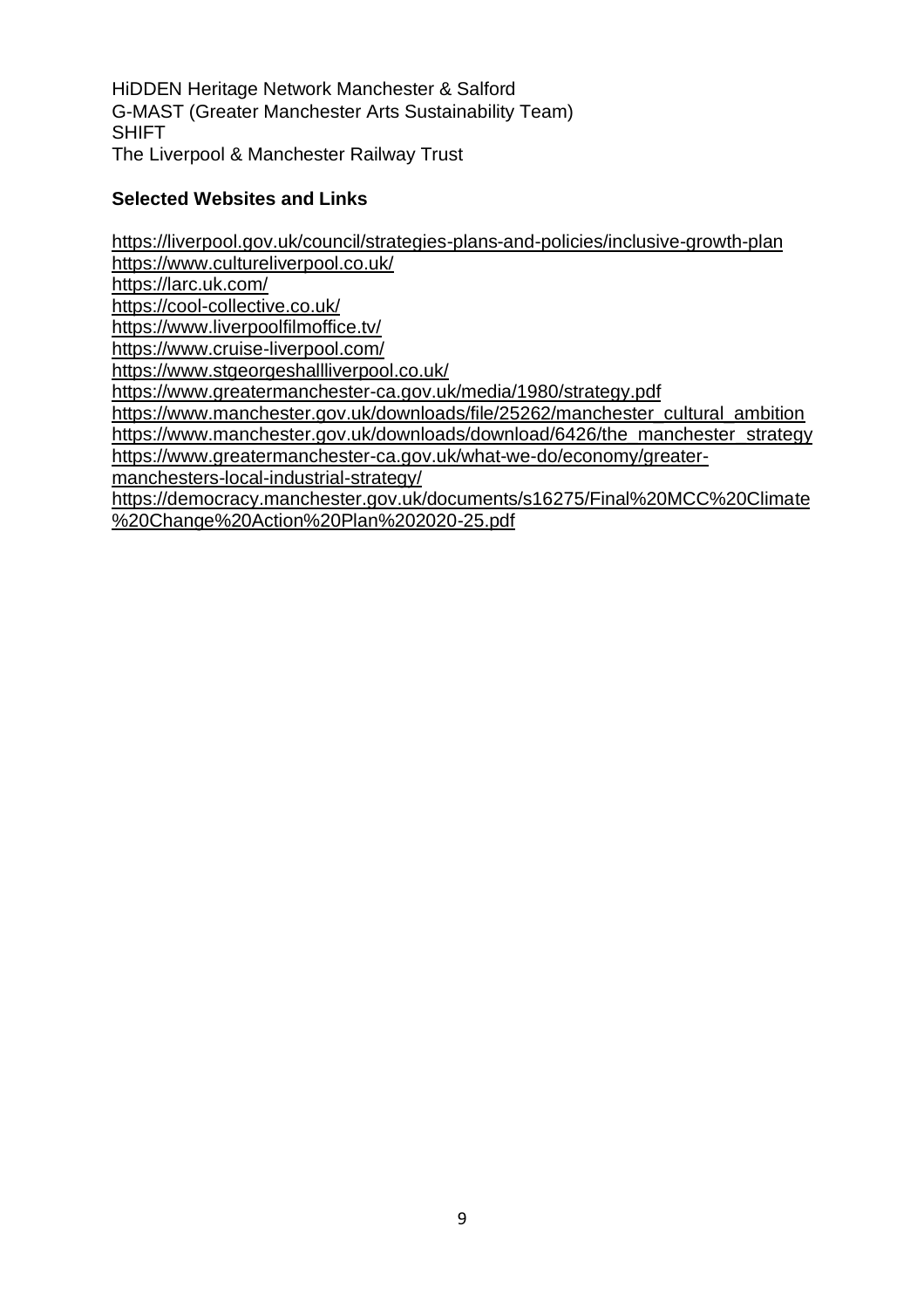HiDDEN Heritage Network Manchester & Salford G-MAST (Greater Manchester Arts Sustainability Team) SHIFT The Liverpool & Manchester Railway Trust

#### **Selected Websites and Links**

<https://liverpool.gov.uk/council/strategies-plans-and-policies/inclusive-growth-plan> <https://www.cultureliverpool.co.uk/> <https://larc.uk.com/> <https://cool-collective.co.uk/> <https://www.liverpoolfilmoffice.tv/> <https://www.cruise-liverpool.com/> <https://www.stgeorgeshallliverpool.co.uk/> <https://www.greatermanchester-ca.gov.uk/media/1980/strategy.pdf> [https://www.manchester.gov.uk/downloads/file/25262/manchester\\_cultural\\_ambition](https://www.manchester.gov.uk/downloads/file/25262/manchester_cultural_ambition) [https://www.manchester.gov.uk/downloads/download/6426/the\\_manchester\\_strategy](https://www.manchester.gov.uk/downloads/download/6426/the_manchester_strategy) [https://www.greatermanchester-ca.gov.uk/what-we-do/economy/greater](https://www.greatermanchester-ca.gov.uk/what-we-do/economy/greater-manchesters-local-industrial-strategy/)[manchesters-local-industrial-strategy/](https://www.greatermanchester-ca.gov.uk/what-we-do/economy/greater-manchesters-local-industrial-strategy/) [https://democracy.manchester.gov.uk/documents/s16275/Final%20MCC%20Climate](https://democracy.manchester.gov.uk/documents/s16275/Final%20MCC%20Climate%20Change%20Action%20Plan%202020-25.pdf) [%20Change%20Action%20Plan%202020-25.pdf](https://democracy.manchester.gov.uk/documents/s16275/Final%20MCC%20Climate%20Change%20Action%20Plan%202020-25.pdf)